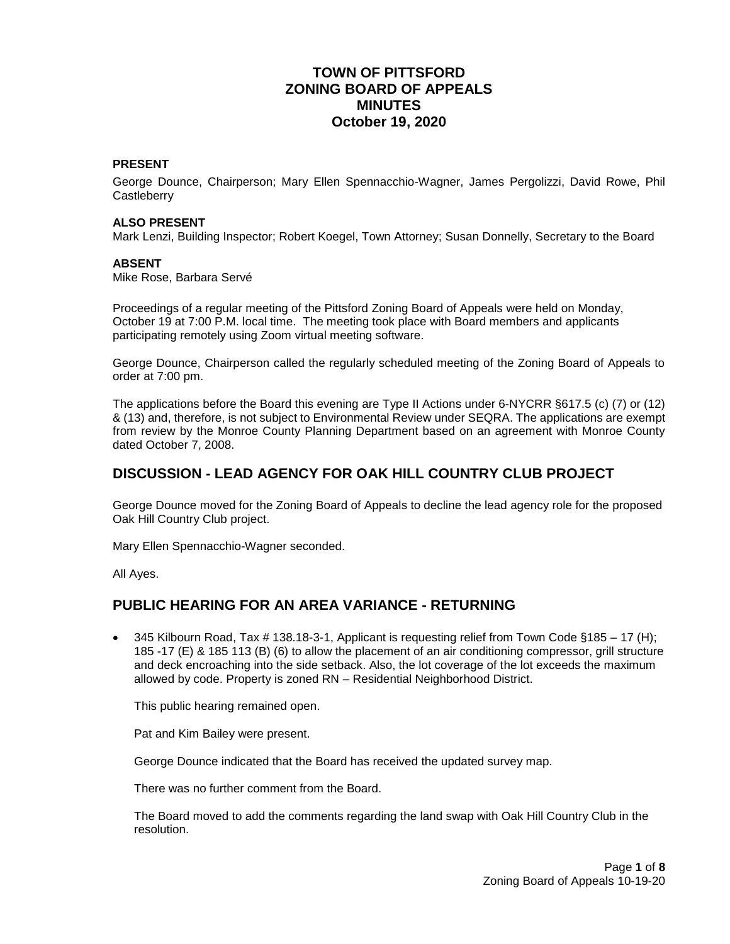# **TOWN OF PITTSFORD ZONING BOARD OF APPEALS MINUTES October 19, 2020**

#### **PRESENT**

George Dounce, Chairperson; Mary Ellen Spennacchio-Wagner, James Pergolizzi, David Rowe, Phil **Castleberry** 

#### **ALSO PRESENT**

Mark Lenzi, Building Inspector; Robert Koegel, Town Attorney; Susan Donnelly, Secretary to the Board

#### **ABSENT**

Mike Rose, Barbara Servé

Proceedings of a regular meeting of the Pittsford Zoning Board of Appeals were held on Monday, October 19 at 7:00 P.M. local time. The meeting took place with Board members and applicants participating remotely using Zoom virtual meeting software.

George Dounce, Chairperson called the regularly scheduled meeting of the Zoning Board of Appeals to order at 7:00 pm.

The applications before the Board this evening are Type II Actions under 6-NYCRR §617.5 (c) (7) or (12) & (13) and, therefore, is not subject to Environmental Review under SEQRA. The applications are exempt from review by the Monroe County Planning Department based on an agreement with Monroe County dated October 7, 2008.

## **DISCUSSION - LEAD AGENCY FOR OAK HILL COUNTRY CLUB PROJECT**

George Dounce moved for the Zoning Board of Appeals to decline the lead agency role for the proposed Oak Hill Country Club project.

Mary Ellen Spennacchio-Wagner seconded.

All Ayes.

## **PUBLIC HEARING FOR AN AREA VARIANCE - RETURNING**

 $\bullet$  345 Kilbourn Road, Tax # 138.18-3-1, Applicant is requesting relief from Town Code §185 – 17 (H); 185 -17 (E) & 185 113 (B) (6) to allow the placement of an air conditioning compressor, grill structure and deck encroaching into the side setback. Also, the lot coverage of the lot exceeds the maximum allowed by code. Property is zoned RN – Residential Neighborhood District.

This public hearing remained open.

Pat and Kim Bailey were present.

George Dounce indicated that the Board has received the updated survey map.

There was no further comment from the Board.

The Board moved to add the comments regarding the land swap with Oak Hill Country Club in the resolution.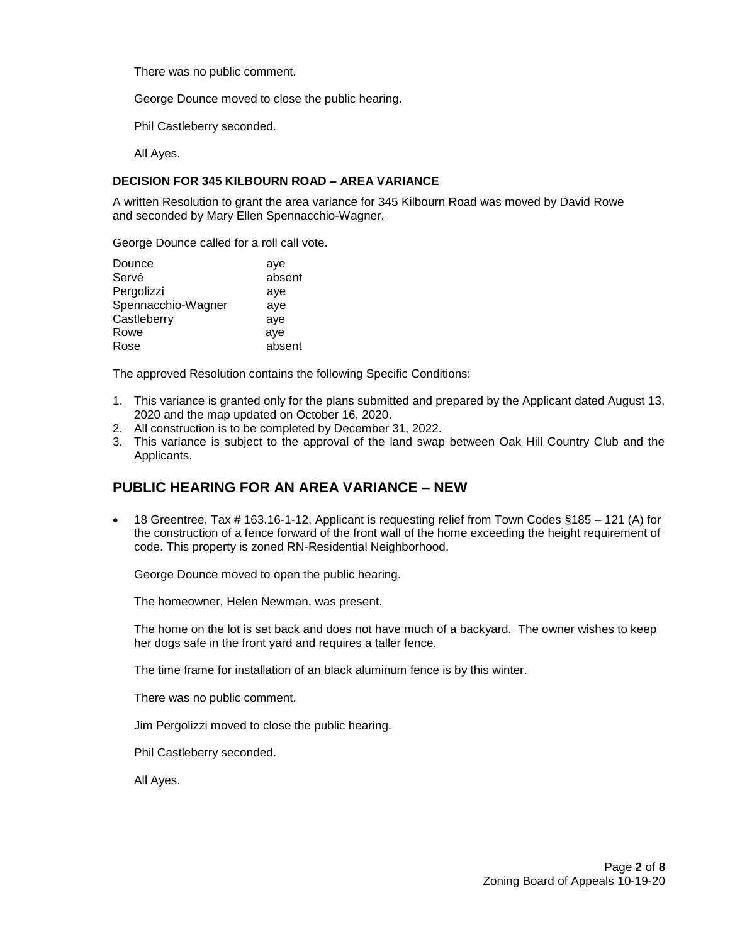There was no public comment.

George Dounce moved to close the public hearing.

Phil Castleberry seconded.

All Ayes.

#### **DECISION FOR 345 KILBOURN ROAD – AREA VARIANCE**

A written Resolution to grant the area variance for 345 Kilbourn Road was moved by David Rowe and seconded by Mary Ellen Spennacchio-Wagner.

George Dounce called for a roll call vote.

| Dounce             | aye    |
|--------------------|--------|
| Servé              | absent |
| Pergolizzi         | aye    |
| Spennacchio-Wagner | aye    |
| Castleberry        | aye    |
| Rowe               | aye    |
| Rose               | absent |

The approved Resolution contains the following Specific Conditions:

- 1. This variance is granted only for the plans submitted and prepared by the Applicant dated August 13, 2020 and the map updated on October 16, 2020.
- 2. All construction is to be completed by December 31, 2022.
- 3. This variance is subject to the approval of the land swap between Oak Hill Country Club and the Applicants.

# **PUBLIC HEARING FOR AN AREA VARIANCE – NEW**

• 18 Greentree, Tax  $\#$  163.16-1-12, Applicant is requesting relief from Town Codes §185 – 121 (A) for the construction of a fence forward of the front wall of the home exceeding the height requirement of code. This property is zoned RN-Residential Neighborhood.

George Dounce moved to open the public hearing.

The homeowner, Helen Newman, was present.

The home on the lot is set back and does not have much of a backyard. The owner wishes to keep her dogs safe in the front yard and requires a taller fence.

The time frame for installation of an black aluminum fence is by this winter.

There was no public comment.

Jim Pergolizzi moved to close the public hearing.

Phil Castleberry seconded.

All Ayes.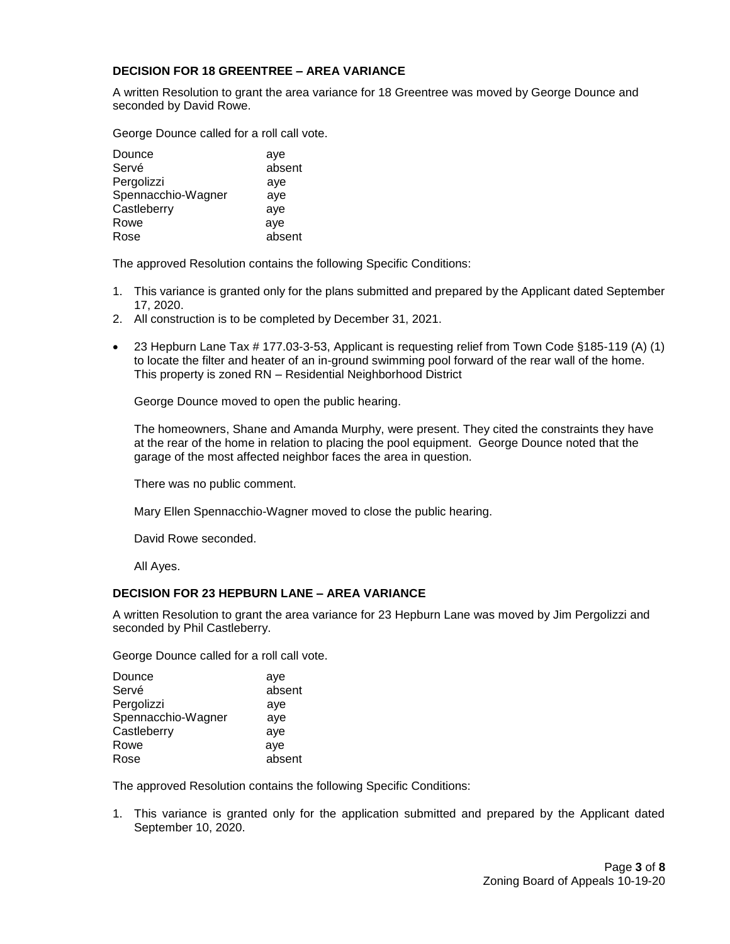#### **DECISION FOR 18 GREENTREE – AREA VARIANCE**

A written Resolution to grant the area variance for 18 Greentree was moved by George Dounce and seconded by David Rowe.

George Dounce called for a roll call vote.

| Dounce             | aye    |
|--------------------|--------|
| Servé              | absent |
| Pergolizzi         | aye    |
| Spennacchio-Wagner | aye    |
| Castleberry        | aye    |
| Rowe               | aye    |
| Rose               | absent |

The approved Resolution contains the following Specific Conditions:

- 1. This variance is granted only for the plans submitted and prepared by the Applicant dated September 17, 2020.
- 2. All construction is to be completed by December 31, 2021.
- 23 Hepburn Lane Tax # 177.03-3-53, Applicant is requesting relief from Town Code §185-119 (A) (1) to locate the filter and heater of an in-ground swimming pool forward of the rear wall of the home. This property is zoned RN – Residential Neighborhood District

George Dounce moved to open the public hearing.

The homeowners, Shane and Amanda Murphy, were present. They cited the constraints they have at the rear of the home in relation to placing the pool equipment. George Dounce noted that the garage of the most affected neighbor faces the area in question.

There was no public comment.

Mary Ellen Spennacchio-Wagner moved to close the public hearing.

David Rowe seconded.

All Ayes.

#### **DECISION FOR 23 HEPBURN LANE – AREA VARIANCE**

A written Resolution to grant the area variance for 23 Hepburn Lane was moved by Jim Pergolizzi and seconded by Phil Castleberry.

George Dounce called for a roll call vote.

| Dounce             | aye    |
|--------------------|--------|
| Servé              | absent |
| Pergolizzi         | aye    |
| Spennacchio-Wagner | aye    |
| Castleberry        | aye    |
| Rowe               | aye    |
| Rose               | absent |

The approved Resolution contains the following Specific Conditions:

1. This variance is granted only for the application submitted and prepared by the Applicant dated September 10, 2020.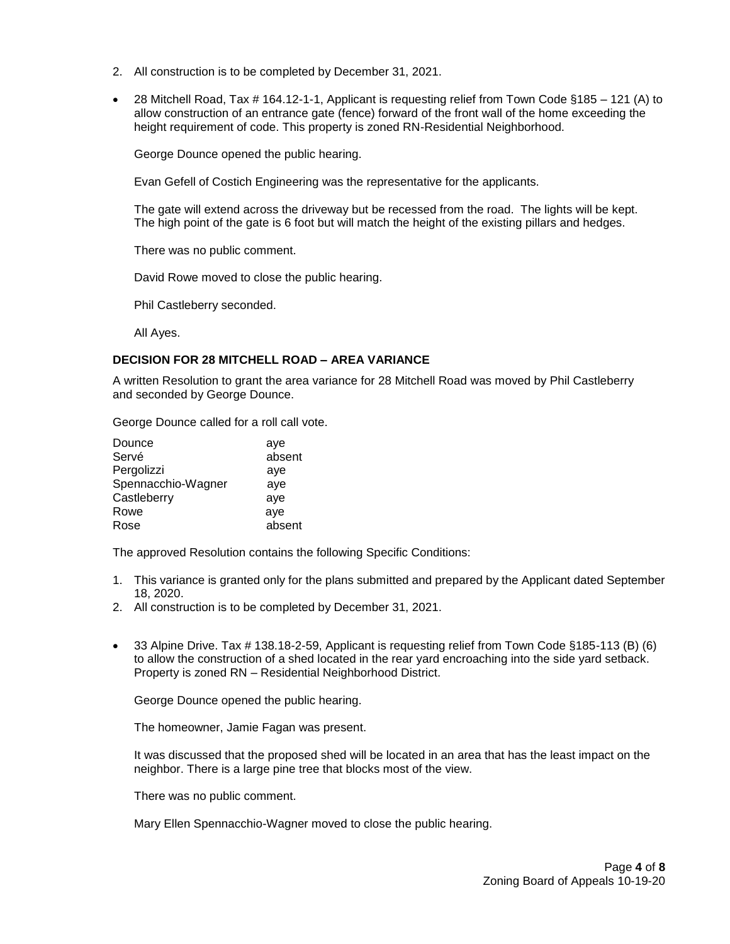- 2. All construction is to be completed by December 31, 2021.
- 28 Mitchell Road, Tax # 164.12-1-1, Applicant is requesting relief from Town Code §185 121 (A) to allow construction of an entrance gate (fence) forward of the front wall of the home exceeding the height requirement of code. This property is zoned RN-Residential Neighborhood.

George Dounce opened the public hearing.

Evan Gefell of Costich Engineering was the representative for the applicants.

The gate will extend across the driveway but be recessed from the road. The lights will be kept. The high point of the gate is 6 foot but will match the height of the existing pillars and hedges.

There was no public comment.

David Rowe moved to close the public hearing.

Phil Castleberry seconded.

All Ayes.

#### **DECISION FOR 28 MITCHELL ROAD – AREA VARIANCE**

A written Resolution to grant the area variance for 28 Mitchell Road was moved by Phil Castleberry and seconded by George Dounce.

George Dounce called for a roll call vote.

| Dounce             | aye    |
|--------------------|--------|
| Servé              | absent |
| Pergolizzi         | aye    |
| Spennacchio-Wagner | aye    |
| Castleberry        | aye    |
| Rowe               | aye    |
| Rose               | absent |

The approved Resolution contains the following Specific Conditions:

- 1. This variance is granted only for the plans submitted and prepared by the Applicant dated September 18, 2020.
- 2. All construction is to be completed by December 31, 2021.
- 33 Alpine Drive. Tax # 138.18-2-59, Applicant is requesting relief from Town Code §185-113 (B) (6) to allow the construction of a shed located in the rear yard encroaching into the side yard setback. Property is zoned RN – Residential Neighborhood District.

George Dounce opened the public hearing.

The homeowner, Jamie Fagan was present.

It was discussed that the proposed shed will be located in an area that has the least impact on the neighbor. There is a large pine tree that blocks most of the view.

There was no public comment.

Mary Ellen Spennacchio-Wagner moved to close the public hearing.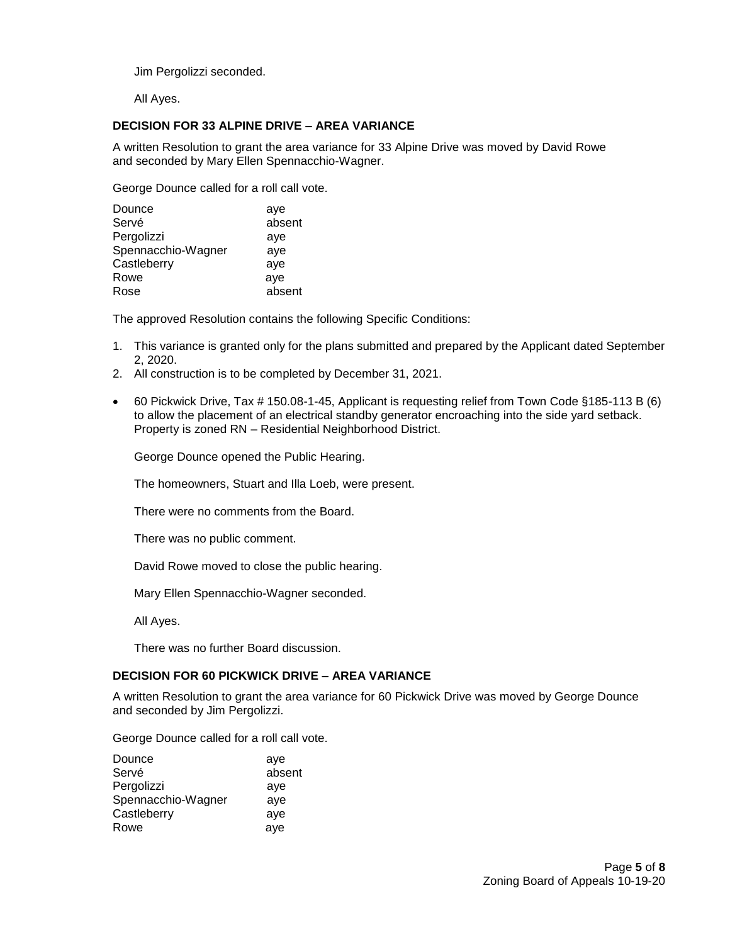Jim Pergolizzi seconded.

All Ayes.

### **DECISION FOR 33 ALPINE DRIVE – AREA VARIANCE**

A written Resolution to grant the area variance for 33 Alpine Drive was moved by David Rowe and seconded by Mary Ellen Spennacchio-Wagner.

George Dounce called for a roll call vote.

| Dounce             | aye    |
|--------------------|--------|
| Servé              | absent |
| Pergolizzi         | aye    |
| Spennacchio-Wagner | aye    |
| Castleberry        | aye    |
| Rowe               | aye    |
| Rose               | absent |

The approved Resolution contains the following Specific Conditions:

- 1. This variance is granted only for the plans submitted and prepared by the Applicant dated September 2, 2020.
- 2. All construction is to be completed by December 31, 2021.
- 60 Pickwick Drive, Tax # 150.08-1-45, Applicant is requesting relief from Town Code §185-113 B (6) to allow the placement of an electrical standby generator encroaching into the side yard setback. Property is zoned RN – Residential Neighborhood District.

George Dounce opened the Public Hearing.

The homeowners, Stuart and Illa Loeb, were present.

There were no comments from the Board.

There was no public comment.

David Rowe moved to close the public hearing.

Mary Ellen Spennacchio-Wagner seconded.

All Ayes.

There was no further Board discussion.

### **DECISION FOR 60 PICKWICK DRIVE – AREA VARIANCE**

A written Resolution to grant the area variance for 60 Pickwick Drive was moved by George Dounce and seconded by Jim Pergolizzi.

George Dounce called for a roll call vote.

| Dounce             | aye    |
|--------------------|--------|
| Servé              | absent |
| Pergolizzi         | aye    |
| Spennacchio-Wagner | aye    |
| Castleberry        | aye    |
| Rowe               | aye    |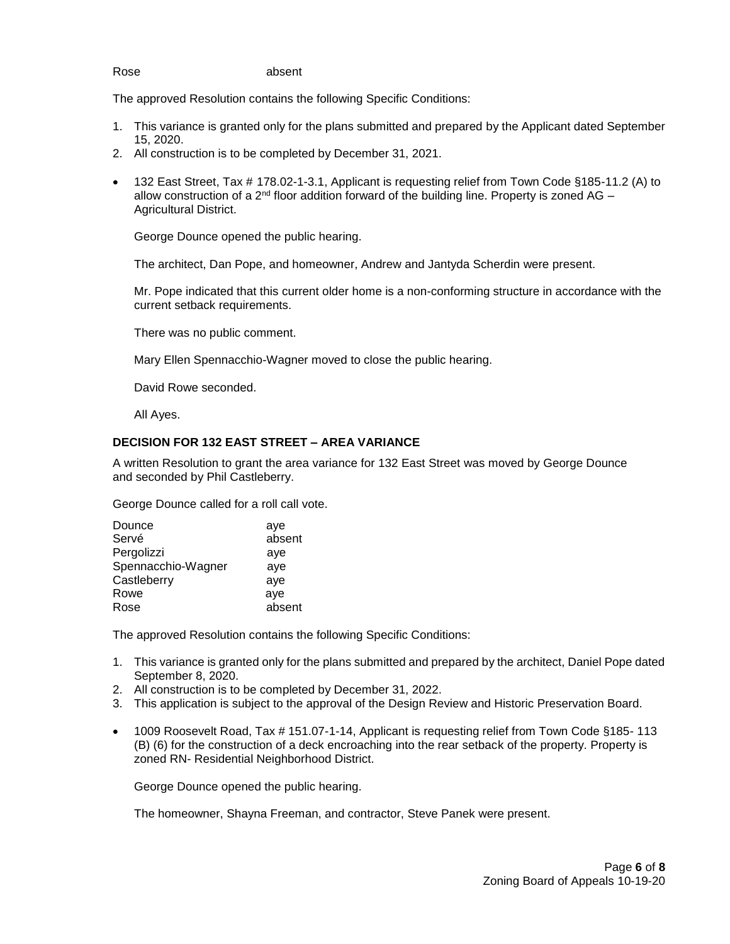#### Rose absent

The approved Resolution contains the following Specific Conditions:

- 1. This variance is granted only for the plans submitted and prepared by the Applicant dated September 15, 2020.
- 2. All construction is to be completed by December 31, 2021.
- 132 East Street, Tax # 178.02-1-3.1, Applicant is requesting relief from Town Code §185-11.2 (A) to allow construction of a  $2<sup>nd</sup>$  floor addition forward of the building line. Property is zoned AG – Agricultural District.

George Dounce opened the public hearing.

The architect, Dan Pope, and homeowner, Andrew and Jantyda Scherdin were present.

Mr. Pope indicated that this current older home is a non-conforming structure in accordance with the current setback requirements.

There was no public comment.

Mary Ellen Spennacchio-Wagner moved to close the public hearing.

David Rowe seconded.

All Ayes.

#### **DECISION FOR 132 EAST STREET – AREA VARIANCE**

A written Resolution to grant the area variance for 132 East Street was moved by George Dounce and seconded by Phil Castleberry.

George Dounce called for a roll call vote.

| Dounce             | aye    |
|--------------------|--------|
| Servé              | absent |
| Pergolizzi         | aye    |
| Spennacchio-Wagner | aye    |
| Castleberry        | aye    |
| Rowe               | aye    |
| Rose               | absent |
|                    |        |

The approved Resolution contains the following Specific Conditions:

- 1. This variance is granted only for the plans submitted and prepared by the architect, Daniel Pope dated September 8, 2020.
- 2. All construction is to be completed by December 31, 2022.
- 3. This application is subject to the approval of the Design Review and Historic Preservation Board.
- 1009 Roosevelt Road, Tax # 151.07-1-14, Applicant is requesting relief from Town Code §185- 113 (B) (6) for the construction of a deck encroaching into the rear setback of the property. Property is zoned RN- Residential Neighborhood District.

George Dounce opened the public hearing.

The homeowner, Shayna Freeman, and contractor, Steve Panek were present.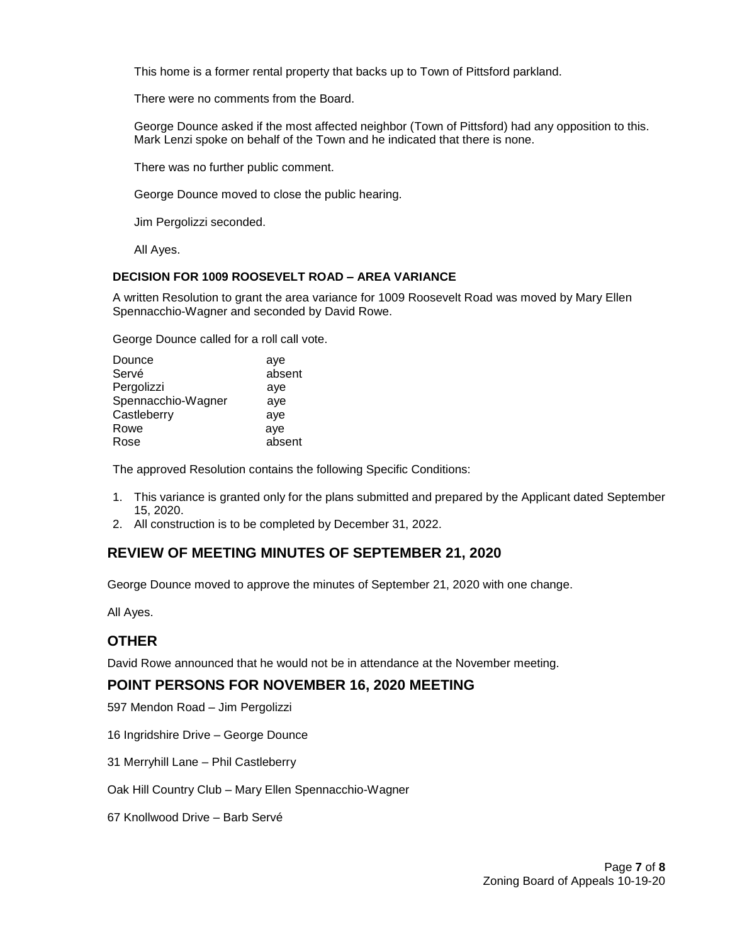This home is a former rental property that backs up to Town of Pittsford parkland.

There were no comments from the Board.

George Dounce asked if the most affected neighbor (Town of Pittsford) had any opposition to this. Mark Lenzi spoke on behalf of the Town and he indicated that there is none.

There was no further public comment.

George Dounce moved to close the public hearing.

Jim Pergolizzi seconded.

All Ayes.

### **DECISION FOR 1009 ROOSEVELT ROAD – AREA VARIANCE**

A written Resolution to grant the area variance for 1009 Roosevelt Road was moved by Mary Ellen Spennacchio-Wagner and seconded by David Rowe.

George Dounce called for a roll call vote.

| aye    |
|--------|
| absent |
| aye    |
| aye    |
| aye    |
| aye    |
| absent |
|        |

The approved Resolution contains the following Specific Conditions:

- 1. This variance is granted only for the plans submitted and prepared by the Applicant dated September 15, 2020.
- 2. All construction is to be completed by December 31, 2022.

# **REVIEW OF MEETING MINUTES OF SEPTEMBER 21, 2020**

George Dounce moved to approve the minutes of September 21, 2020 with one change.

All Ayes.

# **OTHER**

David Rowe announced that he would not be in attendance at the November meeting.

## **POINT PERSONS FOR NOVEMBER 16, 2020 MEETING**

597 Mendon Road – Jim Pergolizzi

16 Ingridshire Drive – George Dounce

31 Merryhill Lane – Phil Castleberry

Oak Hill Country Club – Mary Ellen Spennacchio-Wagner

67 Knollwood Drive – Barb Servé